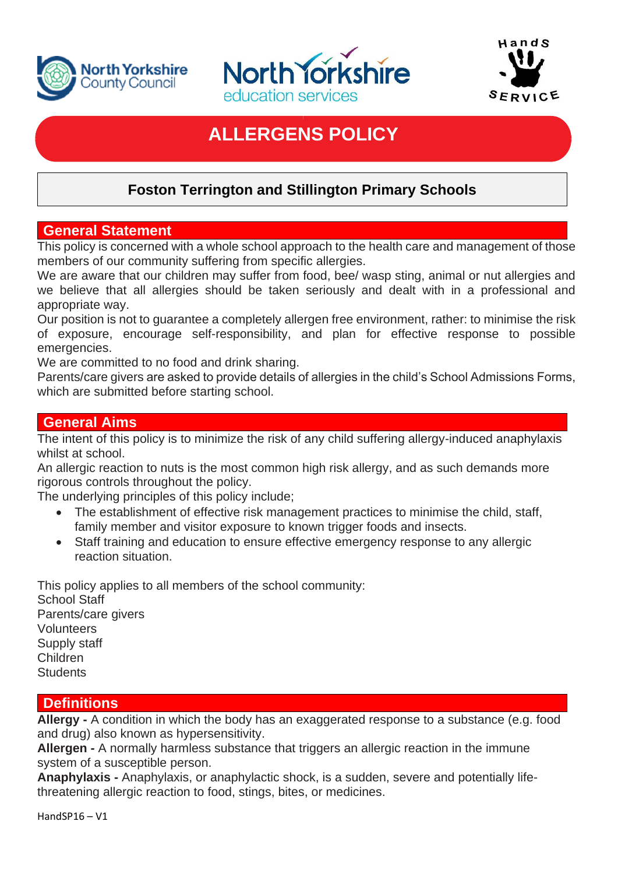





# **ALLERGENS POLICY**

# **Foston Terrington and Stillington Primary Schools**

### **General Statement**

This policy is concerned with a whole school approach to the health care and management of those members of our community suffering from specific allergies.

We are aware that our children may suffer from food, bee/ wasp sting, animal or nut allergies and we believe that all allergies should be taken seriously and dealt with in a professional and appropriate way.

Our position is not to guarantee a completely allergen free environment, rather: to minimise the risk of exposure, encourage self-responsibility, and plan for effective response to possible emergencies.

We are committed to no food and drink sharing.

Parents/care givers are asked to provide details of allergies in the child's School Admissions Forms, which are submitted before starting school.

### **General Aims**

The intent of this policy is to minimize the risk of any child suffering allergy-induced anaphylaxis whilst at school.

An allergic reaction to nuts is the most common high risk allergy, and as such demands more rigorous controls throughout the policy.

The underlying principles of this policy include;

- The establishment of effective risk management practices to minimise the child, staff, family member and visitor exposure to known trigger foods and insects.
- Staff training and education to ensure effective emergency response to any allergic reaction situation.

This policy applies to all members of the school community: School Staff Parents/care givers Volunteers Supply staff Children **Students** 

# **Definitions**

**Allergy -** A condition in which the body has an exaggerated response to a substance (e.g. food and drug) also known as hypersensitivity.

**Allergen -** A normally harmless substance that triggers an allergic reaction in the immune system of a susceptible person.

**Anaphylaxis -** Anaphylaxis, or anaphylactic shock, is a sudden, severe and potentially lifethreatening allergic reaction to food, stings, bites, or medicines.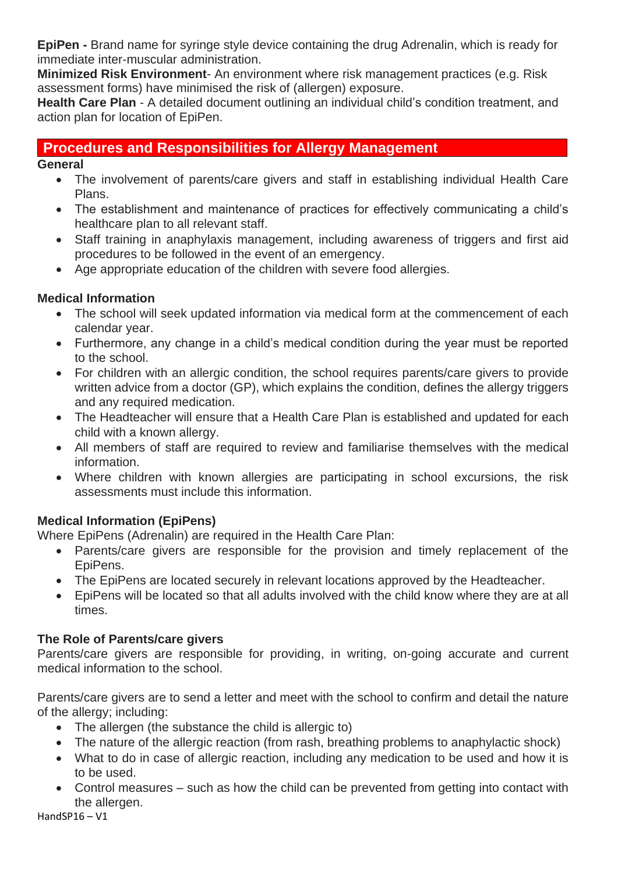**EpiPen -** Brand name for syringe style device containing the drug Adrenalin, which is ready for immediate inter-muscular administration.

**Minimized Risk Environment**- An environment where risk management practices (e.g. Risk assessment forms) have minimised the risk of (allergen) exposure.

**Health Care Plan** - A detailed document outlining an individual child's condition treatment, and action plan for location of EpiPen.

# **Procedures and Responsibilities for Allergy Management**

**General** 

- The involvement of parents/care givers and staff in establishing individual Health Care Plans.
- The establishment and maintenance of practices for effectively communicating a child's healthcare plan to all relevant staff.
- Staff training in anaphylaxis management, including awareness of triggers and first aid procedures to be followed in the event of an emergency.
- Age appropriate education of the children with severe food allergies.

### **Medical Information**

- The school will seek updated information via medical form at the commencement of each calendar year.
- Furthermore, any change in a child's medical condition during the year must be reported to the school.
- For children with an allergic condition, the school requires parents/care givers to provide written advice from a doctor (GP), which explains the condition, defines the allergy triggers and any required medication.
- The Headteacher will ensure that a Health Care Plan is established and updated for each child with a known allergy.
- All members of staff are required to review and familiarise themselves with the medical information.
- Where children with known allergies are participating in school excursions, the risk assessments must include this information.

# **Medical Information (EpiPens)**

Where EpiPens (Adrenalin) are required in the Health Care Plan:

- Parents/care givers are responsible for the provision and timely replacement of the EpiPens.
- The EpiPens are located securely in relevant locations approved by the Headteacher.
- EpiPens will be located so that all adults involved with the child know where they are at all times.

#### **The Role of Parents/care givers**

Parents/care givers are responsible for providing, in writing, on-going accurate and current medical information to the school.

Parents/care givers are to send a letter and meet with the school to confirm and detail the nature of the allergy; including:

- The allergen (the substance the child is allergic to)
- The nature of the allergic reaction (from rash, breathing problems to anaphylactic shock)
- What to do in case of allergic reaction, including any medication to be used and how it is to be used.
- Control measures such as how the child can be prevented from getting into contact with the allergen.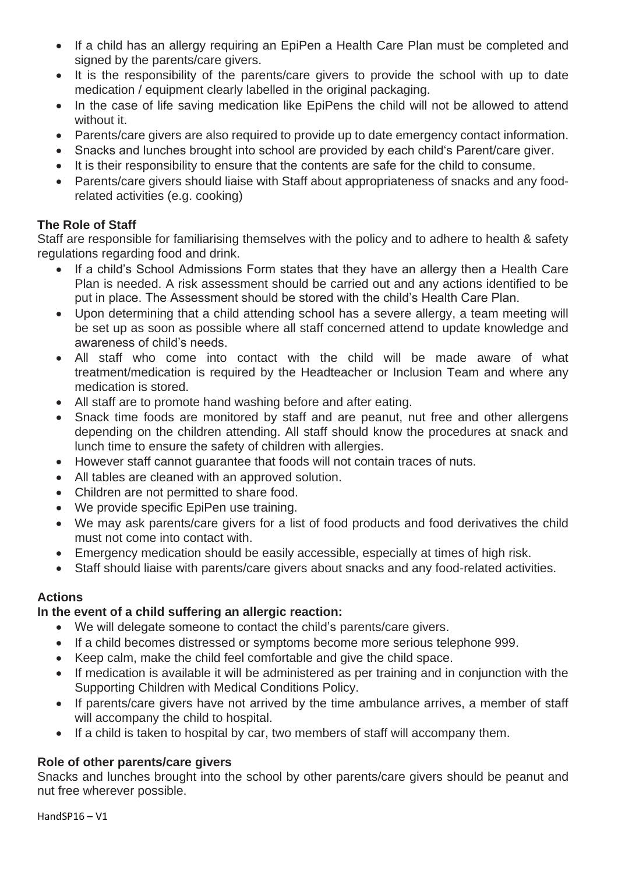- If a child has an allergy requiring an EpiPen a Health Care Plan must be completed and signed by the parents/care givers.
- It is the responsibility of the parents/care givers to provide the school with up to date medication / equipment clearly labelled in the original packaging.
- In the case of life saving medication like EpiPens the child will not be allowed to attend without it.
- Parents/care givers are also required to provide up to date emergency contact information.
- Snacks and lunches brought into school are provided by each child's Parent/care giver.
- It is their responsibility to ensure that the contents are safe for the child to consume.
- Parents/care givers should liaise with Staff about appropriateness of snacks and any foodrelated activities (e.g. cooking)

#### **The Role of Staff**

Staff are responsible for familiarising themselves with the policy and to adhere to health & safety regulations regarding food and drink.

- If a child's School Admissions Form states that they have an allergy then a Health Care Plan is needed. A risk assessment should be carried out and any actions identified to be put in place. The Assessment should be stored with the child's Health Care Plan.
- Upon determining that a child attending school has a severe allergy, a team meeting will be set up as soon as possible where all staff concerned attend to update knowledge and awareness of child's needs.
- All staff who come into contact with the child will be made aware of what treatment/medication is required by the Headteacher or Inclusion Team and where any medication is stored.
- All staff are to promote hand washing before and after eating.
- Snack time foods are monitored by staff and are peanut, nut free and other allergens depending on the children attending. All staff should know the procedures at snack and lunch time to ensure the safety of children with allergies.
- However staff cannot guarantee that foods will not contain traces of nuts.
- All tables are cleaned with an approved solution.
- Children are not permitted to share food.
- We provide specific EpiPen use training.
- We may ask parents/care givers for a list of food products and food derivatives the child must not come into contact with.
- Emergency medication should be easily accessible, especially at times of high risk.
- Staff should liaise with parents/care givers about snacks and any food-related activities.

#### **Actions**

#### **In the event of a child suffering an allergic reaction:**

- We will delegate someone to contact the child's parents/care givers.
- If a child becomes distressed or symptoms become more serious telephone 999.
- Keep calm, make the child feel comfortable and give the child space.
- If medication is available it will be administered as per training and in conjunction with the Supporting Children with Medical Conditions Policy.
- If parents/care givers have not arrived by the time ambulance arrives, a member of staff will accompany the child to hospital.
- If a child is taken to hospital by car, two members of staff will accompany them.

# **Role of other parents/care givers**

Snacks and lunches brought into the school by other parents/care givers should be peanut and nut free wherever possible.